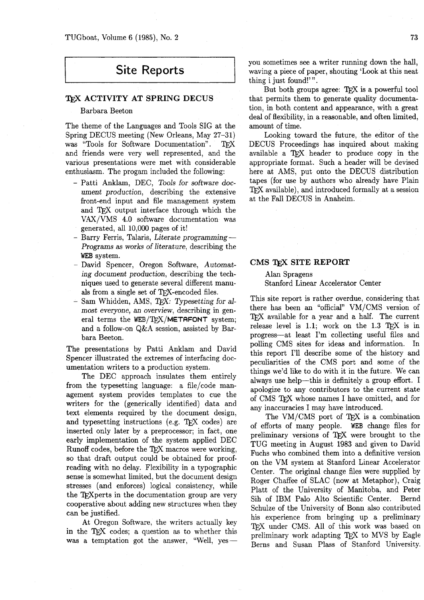# **Site Reports**

# **TEX ACTIVITY AT SPRING DECUS**

# Barbara Beeton

The theme of the Languages and Tools SIG at the Spring DECUS meeting (New Orleans, May 27–31)<br>was "Tools for Software Documentation". TEX and friends were very well represented, and the various presentations were met with considerable enthusiasm. The progam included the following:

- Patti Anklam, DEC, Tools for software document production, describing the extensive front-end input and file management system and TFX output interface through which the VAX/VMS 4.0 software documentation was generated, all 10,000 pages of it!
- Barry Ferris, Talaris, Literate programming-Programs **as** works of literature, describing the WEB system.
- David Spencer, Oregon Software, Automating document production, describing the techniques used to generate several different manuals from a single set of TFX-encoded files.
- $-$  Sam Whidden, AMS, TrX: Typesetting for almost everyone, an overview, describing in general terms the  $WEB/TFXX/METTAFONT$  system; and a follow-on Q&A session, assisted by Barbara Beeton.

The presentations by Patti Anklam and David Spencer illustrated the extremes of interfacing documentation writers to a production system.

The DEC approach insulates them entirely from the typesetting language: a file/code management system provides templates to cue the writers for the (generically identified) data and text elements required by the document design, and typesetting instructions (e.g. T $FX$  codes) are inserted only later by a preprocessor; in fact, one early implementation of the system applied DEC Runoff codes, before the TFX macros were working, so that draft output could be obtained for proofreading with no delay. Flexibility in a typographic sense is somewhat limited, but the document design stresses (and enforces) logical consistency, while the T<sub>F</sub>Xperts in the documentation group are very cooperative about adding new structures when they can be justified.

At Oregon Software, the writers actually key cooperative about adding new structures when they<br>can be justified.<br>At Oregon Software, the writers actually key<br>in the TEX codes; a question as to whether this<br>was a temptation got the answer, "Well, yesyou sometimes see a writer running down the hall, waving a piece of paper, shouting 'Look at this neat thing i just found!'".

But both groups agree: QX is a powerful tool that permits them to generate quality documentation, in both content and appearance, with a great deal of flexibility, in a reasonable, and often limited, amount of time.

Looking toward the future, the editor of the DECUS Proceedings has inquired about making available a TFX header to produce copy in the appropriate format. Such a header will be devised here at AMS, put onto the DECUS distribution tapes (for use by authors who already have Plain TFX available), and introduced formally at a session at the Fall DECUS in Anaheim.

# **CMS TEX SITE REPORT**

# Alan Spragens Stanford Linear Accelerator Center

This site report is rather overdue, considering that there has been an "official" VM/CMS version of TFX available for a year and a half. The current release level is  $1.1$ ; work on the  $1.3$  TFX is in progress-at least I'm collecting useful files and polling CMS sites for ideas and information. In this report I'll describe some of the history and peculiarities of the CMS port and some of the things we'd like to do with it in the future. We can always use help-this is definitely a group effort. I apologize to any contributors to the current state of CMS TFX whose names I have omitted, and for any inaccuracies I may have introduced.

The VM/CMS port of TEX is a combination of efforts of many people. WEB change files for preliminary versions of TFX were brought to the TUG meeting in August 1983 and given to David Fuchs who combined them into a definitive version on the VM system at Stanford Linear Accelerator Center. The original change files were supplied by Roger Chaffee of SLAC (now at Metaphor), Craig Platt of the University of Manitoba, and Peter Sih of IBM Palo Alto Scientific Center. Bernd Schulze of the University of Bonn also contributed his experience from bringing up a preliminary TFX under CMS. All of this work was based on preliminary work adapting TFX to MVS by Eagle Berns and Susan Plass of Stanford University.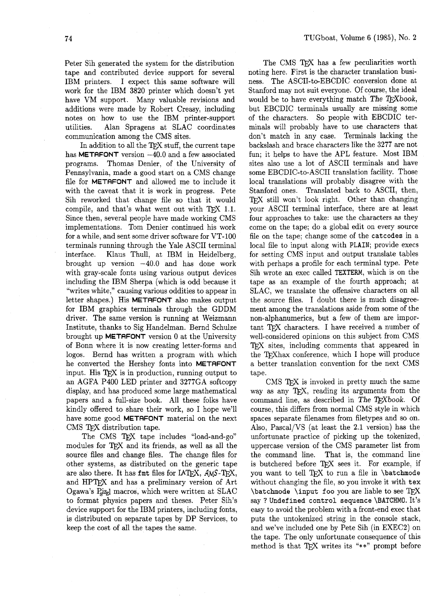Peter Sih generated the system for the distribution tape and contributed device support for several IBM printers. I expect this same software will work for the IBM 3820 printer which doesn't yet have VM support. Many valuable revisions and additions were made by Robert Creasy, including notes on how to use the IBM printer-support utilities. Alan Spragens at SLAC coordinates communication among the CMS sites.

In addition to all the TFX stuff, the current tape has **METAFONT** version  $-40.0$  and a few associated programs. Thomas Denier, of the University of Pennsylvania, made a good start on a CMS change file for **METAFONT** and allowed me to include it with the caveat that it is work in progress. Pete Sih reworked that change file so that it would compile, and that's what went out with TFX 1.1. Since then, several people have made working CMS implementations. Tom Denier continued his work for a while, and sent some driver software for VT-100 terminals running through the Yale ASCII terminal interface. Klaus Thull, at IBM in Heidelberg, brought up version  $-40.0$  and has done work with gray-scale fonts using various output devices including the IBM Sherpa (which is odd because it "writes white," causing various oddities to appear in letter shapes.) His **METAFONT** also makes output for IBM graphics terminals through the GDDM driver. The same version is running at Weizmann Institute, thanks to Sig Handelman. Bernd Schulze brought up **METAFONT** version 0 at the University of Bonn where it is now creating letter-forms and logos. Bernd has written a program with which he converted the Hershey fonts into **METAFONT**  input. His  $T_{F}X$  is in production, running output to an AGFA P400 LED printer and 3277GA softcopy display, and has produced some large mathematical papers and a full-size book. All these folks have kindly offered to share their work, so I hope we'll have some good **METAFONT** material on the next CMS TFX distribution tape.

The CMS TFX tape includes "load-and-go" modules for TFX and its friends, as well as all the source files and change files. The change files for other systems, as distributed on the generic tape are also there. It has fmt files for IATFX, AMS-TFX, and HPTFX and has a preliminary version of Art Ogawa's Pazzl macros, which were written at SLAC to format physics papers and theses. Peter Sih's device support for the IBM printers, including fonts, is distributed on separate tapes by DP Services, to keep the cost of all the tapes the same.

The CMS TFX has a few peculiarities worth noting here. First is the character translation business. The ASCII-to-EBCDIC conversion done at Stanford may not suit everyone. Of course, the ideal would be to have everything match The T $FXbook$ , but EBCDIC terminals usually are missing some of the characters. So people with EBCDIC terminals will probably have to use characters that don't match in any case. Terminals lacking the backslash and brace characters like the 3277 are not fun; it helps to have the APL feature. Most IBM sites also use a lot of ASCII terminals and have some EBCDIC-to-ASCII translation facility. Those local translations will probably disagree with the Stanford ones. Translated back to ASCII, then, TFX still won't look right. Other than changing your ASCII terminal interface, there are at least four approaches to take: use the characters **as** they come on the tape; do a global edit on every source file on the tape; change some of the **catcodes** in a local file to input along with PLAIN; provide execs for setting CMS input and output translate tables with perhaps a profile for each terminal type. Pete Sih wrote an exec called TEXTERM, which is on the tape as an example of the fourth approach; at SLAC, we translate the offensive characters on all the source files. I doubt there is much disagreement among the translations aside from some of the non-alphanumerics, but a few of them are important TFX characters. I have received a number of well-considered opinions on this subject from CMS TFX sites, including comments that appeared in the TrXhax conference, which I hope will produce a better translation convention for the next CMS tape.

CMS T<sub>F</sub>X is invoked in pretty much the same way as any TEX, reading its arguments from the command line, as described in The TFXbook. Of course, this differs from normal CMS style in which spaces separate filenames from filetypes and so on. Also, Pascal/VS (at least the 2.1 version) has the unfortunate practice of picking up the tokenized, uppercase version of the CMS parameter list from the command line. That is, the command line is butchered before TFX sees it. For example, if you want to tell TFX to run a file in **\batchmode** without changing the file, so you invoke it with **tex**  \batchmode \input foo you are liable to see TFX say ? **Undefined control sequence** \BATCHMO. It's easy to avoid the problem with a front-end exec that puts the untokenized string in the console stack, and we've included one by Pete Sih (in EXEC2) on the tape. The only unfortunate consequence of this method is that  $TrX$  writes its "\*\*" prompt before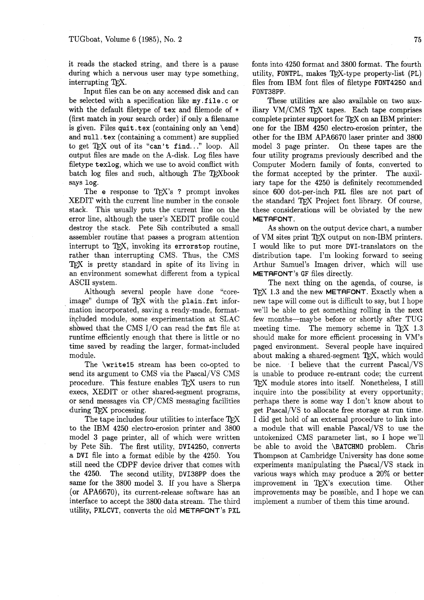it reads the stacked string, and there is a pause during which a nervous user may type something, interrupting TFX.

Input files can be on any accessed disk and can be selected with a specification like my.file.c or with the default filetype of tex and filemode of \* (first match in your search order) if only a filename is given. Files quit tex (containing only an  $\end{math}$ ) and null. tex (containing a comment) are supplied to get  $TrX$  out of its "can't find..." loop. All output files are made on the A-disk. Log files have filetype texlog, which we use to avoid conflict with batch log files and such, although The  $T_F X book$ says log.

The e response to TFX's ? prompt invokes XEDIT with the current line number in the console stack. This usually puts the current line on the error line, although the user's XEDIT profile could destroy the stack. Pete Sih contributed a small assembler routine that passes a program attention interrupt to TFX, invoking its errorstop routine, rather than interrupting CMS. Thus, the CMS 'TEX is pretty standard in spite of its living in an environment somewhat different from a typical ASCII system.

Although several people have done "coreimage" dumps of TFX with the plain. fmt information incorporated, saving a ready-made, format $i$ ncluded module, some experimentation at SLAC mation incorporated, saving a ready-made, format-<br>included module, some experimentation at SLAC<br>showed that the CMS I/O can read the fmt file at<br>runtime efficiently enough that there is little or no runtime efficiently enough that there is little or no time saved by reading the larger, format-included module.

The \write15 stream has been co-opted to send its argument to CMS via the Pascal/VS CMS procedure. This feature enables TFX users to run execs, XEDIT or other shared-segment programs, or send messages via CP/CMS messaging facilities during  $TrX$  processing.

The tape includes four utilities to interface TFX to the IBM 4250 electro-erosion printer and 3800 model 3 page printer, all of which were written by Pete Sih. The first utility, DVI4250, converts a DVI file into a format edible by the 4250. You still need the CDPF device driver that comes with the 4250. The second utility, DVI38PP does the same for the 3800 model 3. If you have a Sherpa (or APA6670), its current-release software has an interface to accept the 3800 data stream. The third utility, PXLCVT, converts the old METAFONT's PXL

fonts into 4250 format and 3800 format. The fourth utility, FONTPL, makes  $TFX-type property-list (PL)$ files from IBM font files of filetype FONT4250 and FONT38PP.

These utilities are also available on two auxiliary  $VM/CMS$  TFX tapes. Each tape comprises complete printer support for TFX on an IBM printer: one for the IBM 4250 electro-erosion printer, the other for the IBM APA6670 laser printer and 3800 model 3 page printer. On these tapes are the four utility programs previously described and the Computer Modern family of fonts, converted to the format accepted by the printer. The auxiliary tape for the 4250 is definitely recommended since 600 dot-per-inch PXL files are not part of the standard TFX Project font library. Of course, these considerations will be obviated by the new METAFONT.

As shown on the output device chart, a number of VM sites print TFX output on non-IBM printers. I would like to put more DVI-translators on the distribution tape. I'm looking forward to seeing Arthur Samuel's Imagen driver, which will use METAFONT's GF files directly.

The next thing on the agenda, of course, is TFX 1.3 and the new METAFONT. Exactly when a new tape will come out is difficult to say, but I hope we'll be able to get something rolling in the next few months-maybe before or shortly after TUG meeting time. The memory scheme in TFX 1.3 should make for more efficient processing in VM's paged environment. Several people have inquired about making a shared-segment TFX, which would be nice. I believe that the current Pascal/VS is unable to produce re-entrant code; the current TFX module stores into itself. Nonetheless, I still inquire into the possibility at every opportunity; perhaps there is some way I don't know about to get Pascal/VS to allocate free storage at run time. I did get hold of an external procedure to link into a module that will enable Pascal/VS to use the untokenized CMS parameter list, so I hope we'll be able to avoid the \BATCHMO problem. Chris Thompson at Cambridge University has done some experiments manipulating the Pascal/VS stack in various ways which may produce a 20% or better improvement in TFX's execution time. Other improvements may be possible, and I hope we can implement a number of them this time around.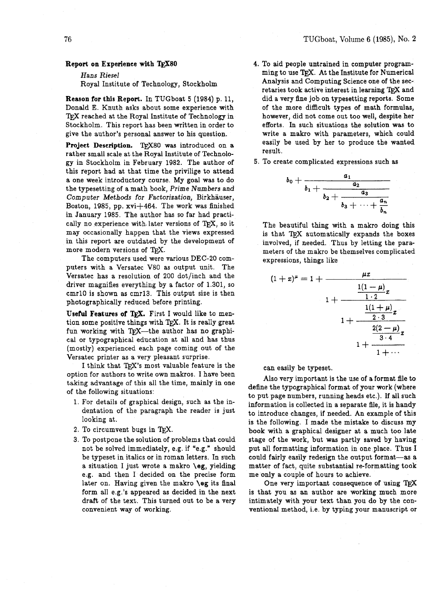#### Report on Experience with **TFX80**

#### Hans Riesel

Royal Institute of Technology, Stockholm

Reason for this Report. In TUGboat 5 (1984) p. 11, Donald E. Knuth asks about some experience with TRX reached at the Royal Institute of Technology in Stockholm. This report has been written in order to give the author's personal answer to his question.

Project Description. TFX80 was introduced on a rather small scale at the Royal Institute of Technology in Stockholm in February 1982. The author of this report had at that time the privilige to attend a one week introductory course. My goal was to do the typesetting of a math book, Prime Numbers and Computer Methods for Factorization, Birkhauser, Boston, 1985, pp.  $xvi+464$ . The work was finished in January 1985. The author has so far had practically no experience with-later versions of TFX, so it may occasionally happen that the views expressed in this report are outdated by the development of more modern versions of TFX.

The computers used were various DEC-20 computers with a Versatec V80 as output unit. The Versatec has a resolution of 200 dot/inch and the driver magnifies everything by a factor of 1.301, so cmrlO is shown as cmrl3. This output size is then photographically reduced before printing.

Useful Features of TEX. First I would like to mention some positive things with  $Tr[X]$ . It is really great fun working with TEX-the author has no graphical or typographical education at all and has thus (mostly) experienced each page coming out of the Versatec printer as a very pleasant surprise.

I think that  $T_{E}X$ 's most valuable feature is the can easily be typeset.<br>option for authors to write own makros. I have been

- 
- 2. To circumvent bugs in T $\overline{F}X$ .
- 3. To postpone the solution of problems that could not be solved immediately, e.g. if "e.g." should be typeset in italics or in roman letters. In such a situation I just wrote a makro **\eg,** yielding e.g. and then I decided on the precise form later on. Having given the makro **\eg** its final form all e.g.'s appeared as decided in the next draft of the text. This turned out to be a very convenient way of working.
- 4. To aid people untrained in computer programming to use TFX. At the Institute for Numerical Analysis and Computing Science one of the secretaries took active interest in learning *TgX* and did a very fine job on typesetting reports. Some of the more difficult types of math formulas, however, did not come out too well, despite her efforts. In such situations the solution was to write a makro with parameters, which could easily be used by her to produce the wanted result.
- 5. To create complicated expressions such as

 $b<sub>0</sub>$ 

$$
+\frac{a_1}{b_1+\frac{a_2}{b_2+\frac{a_3}{b_3+\cdots+\frac{a_n}{b_n}}}}
$$

The beautiful thing with a makro doing this is that TFX automatically expands the boxes involved, if needed. Thus by letting the parameters of the makro be themselves complicated expressions, things like

$$
(1+x)^{\mu} = 1 + \frac{\mu x}{1 \cdot 2}
$$
  

$$
1 + \frac{\frac{1(1-\mu)}{1 \cdot 2}x}{1 + \frac{\frac{1(1+\mu)}{2 \cdot 3}x}{3 \cdot 4}}
$$
  

$$
1 + \frac{\frac{2(2-\mu)}{3 \cdot 4}x}{1 + \cdots}
$$

option for authors to write own makings. I have been<br>taking advantage of this all the time, mainly in one<br>of the following situations:<br>to put page numbers, running heads etc.). If all such 1. For details of graphical design, such as the in-<br>dentation of the paragraph the reader is just<br>to introduce changes if peoded. An example of this to introduce changes, if needed. An example of this looking at.<br>
In the following. I made the mistake to discuss my book with a graphical designer at a much too late stage of the work, but was partly saved by having put all formatting information in one place. Thus I could fairly easily redesign the output format-as a matter of fact, quite substantial re-formatting took me only a couple of hours to achieve.

> One very important consequence of using  $T_{F}X$ is that you as an author are working much more intimately with your text than you do by the conventionaI method, i.e. by typing your manuscript or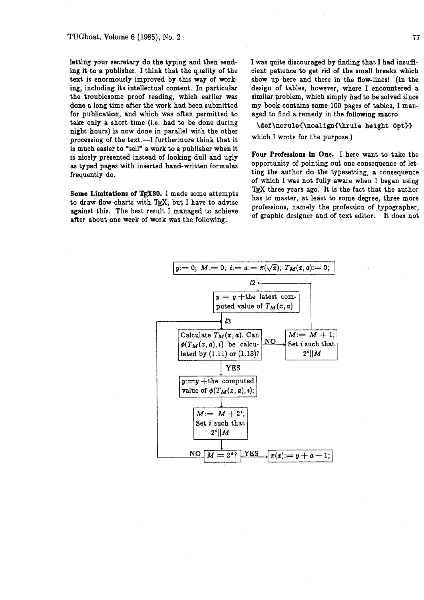letting your secretary do the typing and then sending it to a publisher. I think that the quality of the text is enormously improved by this way of working, including its intellectual content. In particular the troublesome proof reading, which earlier was done a long time after the work had been submitted for publication, and which was often permitted to take only a short time (i.e. had to be done during night hours) is now done in parallel with the other processing of the text.-I furthermore think that it is much easier to "sell" a work to a publisher when it is nicely presented instead of looking dull and ugly Four Professions in One. I here want to take the<br>as typed pages with inserted hand-written formulas opportunity of pointing out one consequence of letas typed pages with inserted hand-written formulas frequently do. ting the author do the typesetting, a consequence

after about one week of work was the following:

I was quite discouraged by finding that I had insufficient patience to get rid of the small breaks which show up here and there in the flow-lines! (In the design of tables, however, where I encountered a similar problem, which simply *had* to be solved since my book contains some 100 pages of tables, I managed to find a remedy in the following macro

**\def\norulei\noalign(\hrule** height **Opt))**  which I wrote for the purpose.)

of which I was not fully aware when I began using **Some Limitations of TFX80.** I made some attempts TEX three years ago. It is the fact that the author has to master, at least to some degree, three more to draw flow-charts with T<sub>E</sub>X, but I have to advise professions, namely the profession of typographer, against this. The best result I managed to achieve professions, namely the profession of typographer, of graphic desig

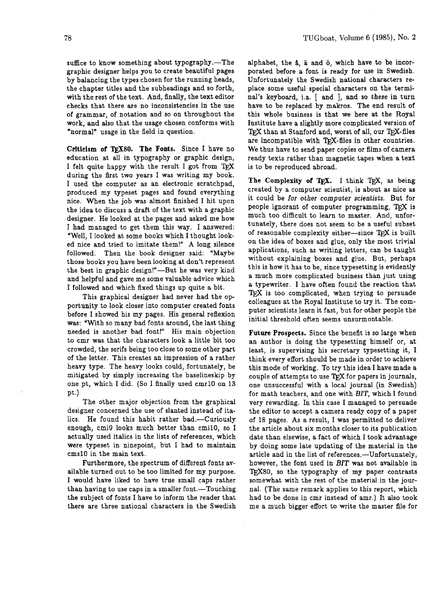suffice to know something about typography.-The graphic designer helps you to create beautiful pages by balancing the types chosen for the running heads, the chapter titles and the subheadings and so forth, with the rest of the text. And, finally, the text editor checks that there are no inconsistencies in the use of grammar, of notation and so on throughout the work, and also that the usage chosen conforms with "normal" usage in the field in question.

Criticism of **QX80. The** Fonts. Since **I** have no education at all in typography or graphic design, I felt quite happy with the result I got from TFX during the first two years I was writing my book. I used the computer as an electronic scratchpad, produced my typeset pages and found everything nice. When the job was almost finished I hit upon the idea to discuss a draft of the text with a graphic designer. He looked at the pages and asked me how I had managed to get them this way. I answered: 'Well, I looked at some books which I thought looked nice and tried to imitate them!" A long silence followed. Then the book designer said: "Maybe those books you have been looking at don't represent the best in graphic design!"-But he was very kind and helpful and gave me some valuable advice which I followed and which fixed things up quite a bit.

This graphical designer had never had the opportunity to look closer into computer created fonts before I showed his my pages. His general reflexion was: "With so many bad fonts around, the last thing needed is another bad font!" His main objection to cmr was that the characters look a little bit too crowded, the serifs being too close to some other part of the letter. This creates an impression of a rather heavy type. The heavy looks could, fortunately, be mitigated by simply increasing the baselineskip by one pt, which I did. (So I finally used cmrlO on **13**  pt.)

The other major objection from the graphical designer concerned the use of slanted instead of italics. He found this habit rather bad.-Curiously enough, cmi9 looks much better than cmil0, so I actually used italics in the lists of references, which were typeset in ninepoint, but I had to maintain cmslO in the main text.

Furthermore, the spectrum of different fonts available turned out to be too limited for my purpose. I would have liked to have true small caps rather than having to use caps in a smaller font.-Touching the subject of fonts I have to inform the reader that there are three national characters in the Swedish

alphabet, the **5,** a and **0,** which have to be incorporated before a font is ready for use in Swedish. Unfortunately the Swedish national characters replace some useful special characters on the terminal's keyboard, i.a. [ and ], and so these in turn have to be replaced by makros. The end result of this whole business is that we here at the Royal Institute have a slightly more complicated version of TEX than at Stanford and, worst of all, our TEX-files are incompatible with TFX-files in other countries. We thus have to send paper copies or films of camera ready texts rather than magnetic tapes when a text is to be reproduced abroad.

The Complexity of TEX. I think TEX, as being created by a computer scientist, is about as nice as it could be for other computer scientists. But for people ignorant of computer programming, TEX is much too difficult to learn to master. And, unfortunately, there does not seem to be a useful subset of reasonable complexity either-since TEX is built on the idea of boxes and glue, only the most trivial applications, such as writing letters, can be taught without explaining boxes and glue. But, perhaps this is how it has to be, since typesetting is evidently a much more complicated business than just using a typewriter. I have often found the reaction that TFX is too complicated, when trying to persuade colleagues at the Royal Institute to try it. The computer scientists learn it fast, but for other people the initial threshold often seems unsurmontable.

Future Prospects. Since the benefit is so large when an author is doing the typesetting himself or, at least, is supervising his secretary typesetting it, I think every effort should be made in order to achieve this mode of working. To try this idea I have made a couple of attempts to use *TEX* for papers in journals, one unsuccessful with a local journal (in Swedish) for math teachers, and one with **BIT,** which I found very rewarding. In this case I managed to persuade the editor to accept a camera ready copy of a paper of 18 pages. As a result, I was permitted to deliver the article about six months closer to its publication date than elsewise, a fact of which I took advantage by doing some late updating of the material in the article and in the list of references.---Unfortunately, however, the font used in **BIT** was not available in  $T_F X80$ , so the typography of my paper contrasts somewhat with the rest of the material in the journal. (The same remark applies to this report, which had to be done in cmr instead of amr.) It also took me a much bigger effort to write the master file for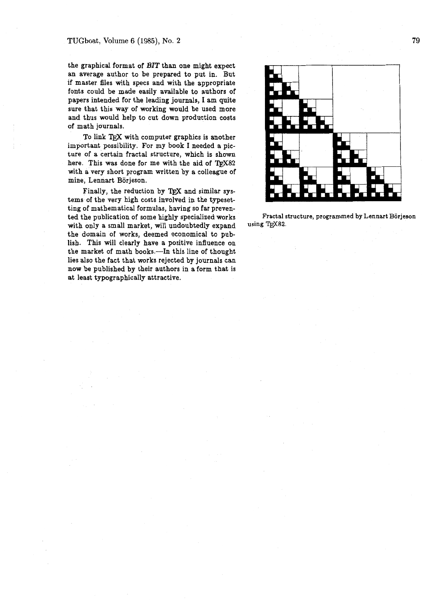#### TUGboat, Volume 6 **(1985),** No. **2**

the graphical format of BIT than one might expect an average author to be prepared to put in. But if master files with specs and with the appropriate fonts could be made easily available to authors of papers intended for the leading journals, I am quite sure that this way of working would be used more and thus would help to cut down production costs of math journals.

To link T<sub>F</sub>X with computer graphics is another important possibility. For my book I needed a picture of a certain fractal structure, which is shown here. This was done for me with the aid of TFX82 with a very short program written by a colleague of mine, Lennart Borjeson.

Finally, the reduction by TFX and similar systems of the very high costs involved in the typesetting of mathematical formulas, having so far prevented the publication of some highly specialized works with only a small market, will undoubtedly expand the domain of works, deemed economical to publish. This will clearly have a positive influence on the market of math books.-In this line of thought lies also the fact that works rejected by journals can now be published by their authors in a form that is at least typographically attractive.



**Fractal structure, programmed by Lennart Borjeson**   $using TrX82.$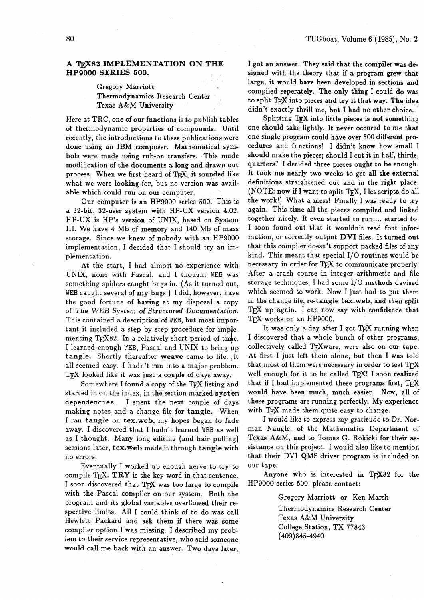## **A m82 IMPLEMENTATION ON THE HP9000 SERIES 500.**

# Gregory Marriott Thermodynamics Research Center Texas A&M University

Here at TRC, one of our functions is to publish tables of thermodynamic properties of compounds. Until recently, the introductions to these publications were done using an IBM composer. Mathematical symbols were made using rub-on transfers. This made modification of the documents a long and drawn out process. When we first heard of TFX, it sounded like what we were looking for, but no version was available which could run on our computer.

Our computer is an HP9000 series 500. This is a 32-bit, 32-user system with HP-UX version 4.02. HP-UX is HP's version of UNIX, based on System 111. We have 4 Mb of memory and 140 Mb of mass storage. Since we knew of nobody with an HP9000 implementation, I decided that I should try an implementation.

At the start, I had almost no experience with UNIX, none with Pascal, and I thought NEB was something spiders caught bugs in. (As it turned out, WEB caught several of my bugs!) I did, however, have the good fortune of having at my disposal a copy of The WEB System of Structured Documentation. This contained a description of WEB, but most important it included a step by step procedure for implementing T<sub>F</sub>X82. In a relatively short period of time, I learned enough WEB, Pascal and UNIX to bring up tangle. Shortly thereafter weave came to life. ,It all seemed easy. I hadn't run into a major problem.  $T_F X$  looked like it was just a couple of days away.

Somewhere I found a copy of the T<sub>F</sub>X listing and started in on the index, in the section marked system dependencies. I spent the next couple of days making notes and a change file for tangle. When I ran tangle on tex.web, my hopes began to fade away. I discovered that I hadn't learned WEB as well as I thought. Many long editing (and hair pulling) sessions later, tex.web made it through tangle with no errors.

Eventually I worked up enough nerve to try to compile T<sub>E</sub>X. **TRY** is the key word in that sentence. Eventually I worked up enough nerve to try to compile  $T_{E}X$ . **TRY** is the key word in that sentence.<br>I soon discovered that  $T_{E}X$  was too large to compile with the Pascal compiler on our system. Both the with the Pascal compiler on our system. Both the program and its global variables overfiowed their respective limits. All I could think of to do was call Hewlett Packard and ask them if there was some compiler option I was missing. I described my problem to their service representative, who said someone would call me back with an answer. Two days later,

I got an answer. They said that the compiler was designed with the theory that if a program grew that large, it would have been developed in sections and compiled seperately. The only thing I could do was to split TEX into pieces and try it that way. The idea didn't exactly thrill me, but I had no other choice.

Splitting TEX into little pieces is not something one should take lightly. It never occured to me that one single program could have over 300 different procedures and functions! 1 didn't know how small I should make the pieces; should I cut it in half, thirds, quarters? I decided three pieces ought to be enough. It took me nearly two weeks to get all the external definitions straightened out and in the right place. (NOTE: now if I want to split T<sub>EX</sub>, I let scripts do all the work!) What a mess! Finally I was ready to try again. This time all the pieces compiled and linked together nicely. It even started to run.... started to. I soon found out that it wouldn't read font information, or correctly output **DVI** files. It turned out that this compiler doesn't support packed files of any kind. This meant that special I/O routines would be necessary in order for TFX to communicate properly. After a crash course in integer arithmetic and file storage techniques, I had some I/O methods devised which seemed to work. Now I just had to put them in the change file, re-tangle tex.web, and then split  $TrX$  up again. I can now say with confidence that TEX works on an HP9000.

It was only a day after I got TFX running when I discovered that a whole bunch of other programs, collectively called TEXware, were also on our tape.<br>At first I just left them alone, but then I was told<br>that most of them were necessary in order to test TEX<br>well enough for it to be called TEXLI soon realized At first I just left them alone, but then I was told well enough for it to be called TEX! I soon realized that if I had implemented these programs first,  $T_F X$ would have been much, much easier. Now, all of these programs are running perfectly. My experience with TFX made them quite easy to change.

I would like to express my gratitude to Dr. Norman Naugle, of the Mathematics Department of Texas A&M, and to Tomas G. Rokicki for their assistance on this project. I would also like to mention that their DVI-QMS driver program is included on our tape.

Anyone who is interested in T#X82 for the HP9000 series 500, please contact:

> Gregory Marriott or Ken Marsh Thermodynamics Research Center Texas A&M University College Station, TX 77843 (409) 845-4940